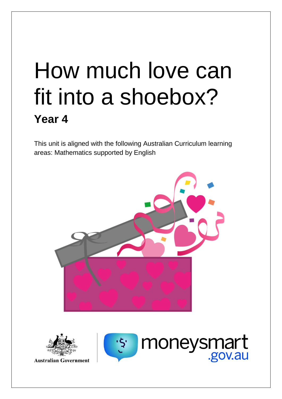# How much love can fit into a shoebox? **Year 4**

This unit is aligned with the following Australian Curriculum learning areas: Mathematics supported by English





**Australian Government** 

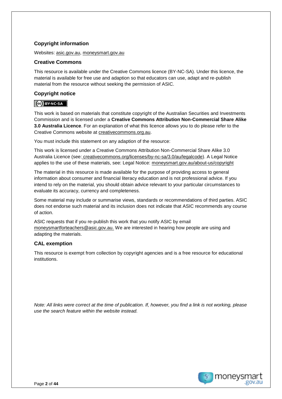## **Copyright information**

Websites: [asic.gov.au,](http://www.asic.gov.au/) [moneysmart.gov.au](https://moneysmart.gov.au/?utm_source=teaching-resource&utm_medium=download&utm_campaign=unit-of-work)

## **Creative Commons**

This resource is available under the Creative Commons licence (BY-NC-SA). Under this licence, the material is available for free use and adaption so that educators can use, adapt and re-publish material from the resource without seeking the permission of ASIC.

## **Copyright notice**

## CC BY-NC-SA

This work is based on materials that constitute copyright of the Australian Securities and Investments Commission and is licensed under a **Creative Commons Attribution Non-Commercial Share Alike 3.0 Australia Licence**. For an explanation of what this licence allows you to do please refer to the Creative Commons website at [creativecommons.org.au.](http://creativecommons.org.au/)

You must include this statement on any adaption of the resource:

This work is licensed under a Creative Commons Attribution Non-Commercial Share Alike 3.0 Australia Licence (see: creativecommons.org/licenses/by-nc-sa/3.0/au/legalcode). A Legal Notice applies to the use of these materials, see: Legal Notice: [moneysmart.gov.au/about-us/copyright](https://moneysmart.gov.au/about-us/copyright?utm_source=teaching-resource&utm_medium=download&utm_campaign=unit-of-work)

The material in this resource is made available for the purpose of providing access to general information about consumer and financial literacy education and is not professional advice. If you intend to rely on the material, you should obtain advice relevant to your particular circumstances to evaluate its accuracy, currency and completeness.

Some material may include or summarise views, standards or recommendations of third parties. ASIC does not endorse such material and its inclusion does not indicate that ASIC recommends any course of action.

ASIC requests that if you re-publish this work that you notify ASIC by email [moneysmartforteachers@asic.gov.au.](mailto:moneysmartforteachers@asic.gov.au) We are interested in hearing how people are using and adapting the materials.

## **CAL exemption**

This resource is exempt from collection by copyright agencies and is a free resource for educational institutions.

*Note: All links were correct at the time of publication. If, however, you find a link is not working, please use the search feature within the website instead.*

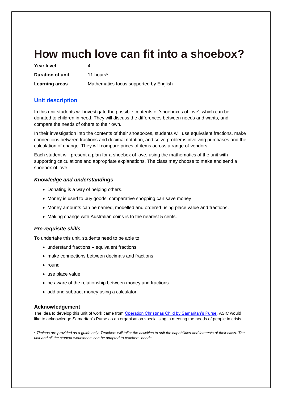# **How much love can fit into a shoebox?**

| Year level            |                                        |
|-----------------------|----------------------------------------|
| Duration of unit      | 11 hours*                              |
| <b>Learning areas</b> | Mathematics focus supported by English |

## **Unit description**

In this unit students will investigate the possible contents of 'shoeboxes of love', which can be donated to children in need. They will discuss the differences between needs and wants, and compare the needs of others to their own.

In their investigation into the contents of their shoeboxes, students will use equivalent fractions, make connections between fractions and decimal notation, and solve problems involving purchases and the calculation of change. They will compare prices of items across a range of vendors.

Each student will present a plan for a shoebox of love, using the mathematics of the unit with supporting calculations and appropriate explanations. The class may choose to make and send a shoebox of love.

#### *Knowledge and understandings*

- Donating is a way of helping others.
- Money is used to buy goods; comparative shopping can save money.
- Money amounts can be named, modelled and ordered using place value and fractions.
- Making change with Australian coins is to the nearest 5 cents.

### *Pre-requisite skills*

To undertake this unit, students need to be able to:

- understand fractions equivalent fractions
- make connections between decimals and fractions
- round
- use place value
- be aware of the relationship between money and fractions
- add and subtract money using a calculator.

#### **Acknowledgement**

The idea to develop this unit of work came fro[m Operation Christmas Child by Samaritan's Purse.](https://www.samaritanspurse.org.au/what-we-do/operation-christmas-child/) ASIC would like to acknowledge Samaritan's Purse as an organisation specialising in meeting the needs of people in crisis.

*• Timings are provided as a guide only. Teachers will tailor the activities to suit the capabilities and interests of their class. The unit and all the student worksheets can be adapted to teachers' needs.*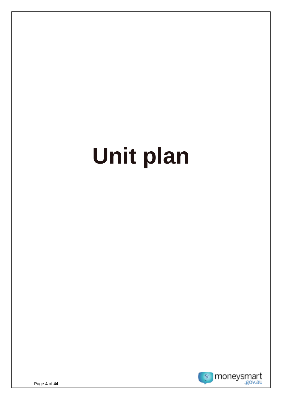# **Unit plan**

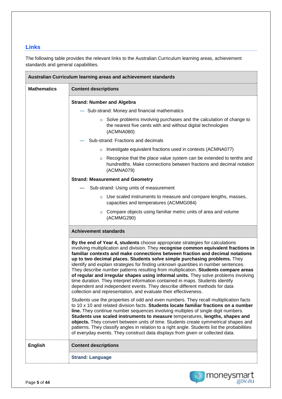## **Links**

The following table provides the relevant links to the Australian Curriculum learning areas, achievement standards and general capabilities.

|                    | Australian Curriculum learning areas and achievement standards                                                                                                                                                                                                                                                                                                                                                                                                                                                                                                                                                                                                                                                                                                                                                                               |  |  |  |  |  |  |
|--------------------|----------------------------------------------------------------------------------------------------------------------------------------------------------------------------------------------------------------------------------------------------------------------------------------------------------------------------------------------------------------------------------------------------------------------------------------------------------------------------------------------------------------------------------------------------------------------------------------------------------------------------------------------------------------------------------------------------------------------------------------------------------------------------------------------------------------------------------------------|--|--|--|--|--|--|
| <b>Mathematics</b> | <b>Content descriptions</b>                                                                                                                                                                                                                                                                                                                                                                                                                                                                                                                                                                                                                                                                                                                                                                                                                  |  |  |  |  |  |  |
|                    | <b>Strand: Number and Algebra</b>                                                                                                                                                                                                                                                                                                                                                                                                                                                                                                                                                                                                                                                                                                                                                                                                            |  |  |  |  |  |  |
|                    | - Sub-strand: Money and financial mathematics                                                                                                                                                                                                                                                                                                                                                                                                                                                                                                                                                                                                                                                                                                                                                                                                |  |  |  |  |  |  |
|                    | $\circ$ Solve problems involving purchases and the calculation of change to<br>the nearest five cents with and without digital technologies<br>(ACMNA080)                                                                                                                                                                                                                                                                                                                                                                                                                                                                                                                                                                                                                                                                                    |  |  |  |  |  |  |
|                    | Sub-strand: Fractions and decimals                                                                                                                                                                                                                                                                                                                                                                                                                                                                                                                                                                                                                                                                                                                                                                                                           |  |  |  |  |  |  |
|                    | $\circ$ Investigate equivalent fractions used in contexts (ACMNA077)                                                                                                                                                                                                                                                                                                                                                                                                                                                                                                                                                                                                                                                                                                                                                                         |  |  |  |  |  |  |
|                    | Recognise that the place value system can be extended to tenths and<br>$\circ$<br>hundredths. Make connections between fractions and decimal notation<br>(ACMNA079)                                                                                                                                                                                                                                                                                                                                                                                                                                                                                                                                                                                                                                                                          |  |  |  |  |  |  |
|                    | <b>Strand: Measurement and Geometry</b>                                                                                                                                                                                                                                                                                                                                                                                                                                                                                                                                                                                                                                                                                                                                                                                                      |  |  |  |  |  |  |
|                    | Sub-strand: Using units of measurement                                                                                                                                                                                                                                                                                                                                                                                                                                                                                                                                                                                                                                                                                                                                                                                                       |  |  |  |  |  |  |
|                    | ○ Use scaled instruments to measure and compare lengths, masses,<br>capacities and temperatures (ACMMG084)                                                                                                                                                                                                                                                                                                                                                                                                                                                                                                                                                                                                                                                                                                                                   |  |  |  |  |  |  |
|                    | $\circ$ Compare objects using familiar metric units of area and volume<br>(ACMMG290)                                                                                                                                                                                                                                                                                                                                                                                                                                                                                                                                                                                                                                                                                                                                                         |  |  |  |  |  |  |
|                    | <b>Achievement standards</b>                                                                                                                                                                                                                                                                                                                                                                                                                                                                                                                                                                                                                                                                                                                                                                                                                 |  |  |  |  |  |  |
|                    | By the end of Year 4, students choose appropriate strategies for calculations<br>involving multiplication and division. They recognise common equivalent fractions in<br>familiar contexts and make connections between fraction and decimal notations<br>up to two decimal places. Students solve simple purchasing problems. They<br>identify and explain strategies for finding unknown quantities in number sentences.<br>They describe number patterns resulting from multiplication. Students compare areas<br>of regular and irregular shapes using informal units. They solve problems involving<br>time duration. They interpret information contained in maps. Students identify<br>dependent and independent events. They describe different methods for data<br>collection and representation, and evaluate their effectiveness. |  |  |  |  |  |  |
|                    | Students use the properties of odd and even numbers. They recall multiplication facts<br>to 10 x 10 and related division facts. Students locate familiar fractions on a number<br>line. They continue number sequences involving multiples of single digit numbers.<br>Students use scaled instruments to measure temperatures, lengths, shapes and<br>objects. They convert between units of time. Students create symmetrical shapes and<br>patterns. They classify angles in relation to a right angle. Students list the probabilities<br>of everyday events. They construct data displays from given or collected data.                                                                                                                                                                                                                 |  |  |  |  |  |  |
| <b>English</b>     | <b>Content descriptions</b>                                                                                                                                                                                                                                                                                                                                                                                                                                                                                                                                                                                                                                                                                                                                                                                                                  |  |  |  |  |  |  |
|                    | <b>Strand: Language</b>                                                                                                                                                                                                                                                                                                                                                                                                                                                                                                                                                                                                                                                                                                                                                                                                                      |  |  |  |  |  |  |

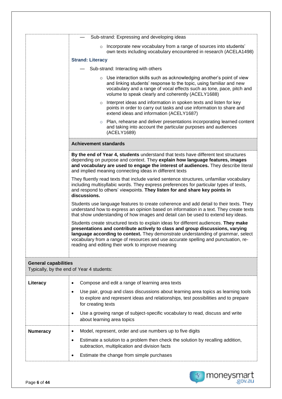|                             | Sub-strand: Expressing and developing ideas                                                                                                                                                                                                                                                                                                                                                           |  |  |  |  |  |  |
|-----------------------------|-------------------------------------------------------------------------------------------------------------------------------------------------------------------------------------------------------------------------------------------------------------------------------------------------------------------------------------------------------------------------------------------------------|--|--|--|--|--|--|
|                             | Incorporate new vocabulary from a range of sources into students'                                                                                                                                                                                                                                                                                                                                     |  |  |  |  |  |  |
|                             | $\circ$<br>own texts including vocabulary encountered in research (ACELA1498)                                                                                                                                                                                                                                                                                                                         |  |  |  |  |  |  |
|                             | <b>Strand: Literacy</b>                                                                                                                                                                                                                                                                                                                                                                               |  |  |  |  |  |  |
|                             | Sub-strand: Interacting with others                                                                                                                                                                                                                                                                                                                                                                   |  |  |  |  |  |  |
|                             | $\circ$ Use interaction skills such as acknowledging another's point of view<br>and linking students' response to the topic, using familiar and new<br>vocabulary and a range of vocal effects such as tone, pace, pitch and<br>volume to speak clearly and coherently (ACELY1688)                                                                                                                    |  |  |  |  |  |  |
|                             | o Interpret ideas and information in spoken texts and listen for key<br>points in order to carry out tasks and use information to share and<br>extend ideas and information (ACELY1687)                                                                                                                                                                                                               |  |  |  |  |  |  |
|                             | Plan, rehearse and deliver presentations incorporating learned content<br>and taking into account the particular purposes and audiences<br>(ACELY1689)                                                                                                                                                                                                                                                |  |  |  |  |  |  |
|                             | <b>Achievement standards</b>                                                                                                                                                                                                                                                                                                                                                                          |  |  |  |  |  |  |
|                             | By the end of Year 4, students understand that texts have different text structures<br>depending on purpose and context. They explain how language features, images<br>and vocabulary are used to engage the interest of audiences. They describe literal<br>and implied meaning connecting ideas in different texts                                                                                  |  |  |  |  |  |  |
|                             | They fluently read texts that include varied sentence structures, unfamiliar vocabulary<br>including multisyllabic words. They express preferences for particular types of texts,<br>and respond to others' viewpoints. They listen for and share key points in<br>discussions.                                                                                                                       |  |  |  |  |  |  |
|                             | Students use language features to create coherence and add detail to their texts. They<br>understand how to express an opinion based on information in a text. They create texts<br>that show understanding of how images and detail can be used to extend key ideas.                                                                                                                                 |  |  |  |  |  |  |
|                             | Students create structured texts to explain ideas for different audiences. They make<br>presentations and contribute actively to class and group discussions, varying<br>language according to context. They demonstrate understanding of grammar, select<br>vocabulary from a range of resources and use accurate spelling and punctuation, re-<br>reading and editing their work to improve meaning |  |  |  |  |  |  |
| <b>General capabilities</b> | Typically, by the end of Year 4 students:                                                                                                                                                                                                                                                                                                                                                             |  |  |  |  |  |  |
| Literacy                    | Compose and edit a range of learning area texts<br>٠                                                                                                                                                                                                                                                                                                                                                  |  |  |  |  |  |  |
|                             | Use pair, group and class discussions about learning area topics as learning tools<br>٠<br>to explore and represent ideas and relationships, test possibilities and to prepare<br>for creating texts<br>Use a growing range of subject-specific vocabulary to read, discuss and write<br>٠                                                                                                            |  |  |  |  |  |  |
|                             | about learning area topics                                                                                                                                                                                                                                                                                                                                                                            |  |  |  |  |  |  |
| <b>Numeracy</b>             | Model, represent, order and use numbers up to five digits<br>٠<br>Estimate a solution to a problem then check the solution by recalling addition,<br>٠<br>subtraction, multiplication and division facts<br>Estimate the change from simple purchases<br>٠                                                                                                                                            |  |  |  |  |  |  |
|                             |                                                                                                                                                                                                                                                                                                                                                                                                       |  |  |  |  |  |  |

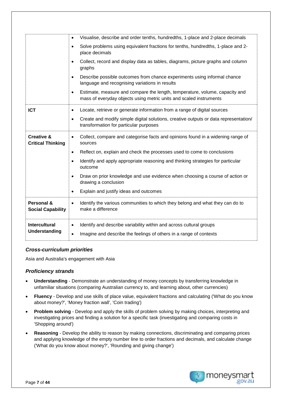|                                                   | Visualise, describe and order tenths, hundredths, 1-place and 2-place decimals<br>$\bullet$                                                                         |
|---------------------------------------------------|---------------------------------------------------------------------------------------------------------------------------------------------------------------------|
|                                                   | Solve problems using equivalent fractions for tenths, hundredths, 1-place and 2-<br>$\bullet$<br>place decimals                                                     |
|                                                   | Collect, record and display data as tables, diagrams, picture graphs and column<br>$\bullet$<br>graphs                                                              |
|                                                   | Describe possible outcomes from chance experiments using informal chance<br>$\bullet$<br>language and recognising variations in results                             |
|                                                   | Estimate, measure and compare the length, temperature, volume, capacity and<br>$\bullet$<br>mass of everyday objects using metric units and scaled instruments      |
| <b>ICT</b>                                        | Locate, retrieve or generate information from a range of digital sources<br>٠                                                                                       |
|                                                   | Create and modify simple digital solutions, creative outputs or data representation/<br>$\bullet$<br>transformation for particular purposes                         |
| <b>Creative &amp;</b><br><b>Critical Thinking</b> | Collect, compare and categorise facts and opinions found in a widening range of<br>$\bullet$<br>sources                                                             |
|                                                   | Reflect on, explain and check the processes used to come to conclusions<br>$\bullet$                                                                                |
|                                                   | Identify and apply appropriate reasoning and thinking strategies for particular<br>$\bullet$<br>outcome                                                             |
|                                                   | Draw on prior knowledge and use evidence when choosing a course of action or<br>$\bullet$<br>drawing a conclusion                                                   |
|                                                   | Explain and justify ideas and outcomes<br>$\bullet$                                                                                                                 |
| Personal &<br><b>Social Capability</b>            | Identify the various communities to which they belong and what they can do to<br>$\bullet$<br>make a difference                                                     |
| <b>Intercultural</b><br>Understanding             | Identify and describe variability within and across cultural groups<br>$\bullet$<br>Imagine and describe the feelings of others in a range of contexts<br>$\bullet$ |

#### *Cross-curriculum priorities*

Asia and Australia's engagement with Asia

### *Proficiency strands*

- **Understanding** Demonstrate an understanding of money concepts by transferring knowledge in unfamiliar situations (comparing Australian currency to, and learning about, other currencies)
- **Fluency** Develop and use skills of place value, equivalent fractions and calculating ('What do you know about money?', 'Money fraction wall', 'Coin trading')
- **Problem solving** Develop and apply the skills of problem solving by making choices, interpreting and investigating prices and finding a solution for a specific task (investigating and comparing costs in 'Shopping around')
- **Reasoning** Develop the ability to reason by making connections, discriminating and comparing prices and applying knowledge of the empty number line to order fractions and decimals, and calculate change ('What do you know about money?', 'Rounding and giving change')

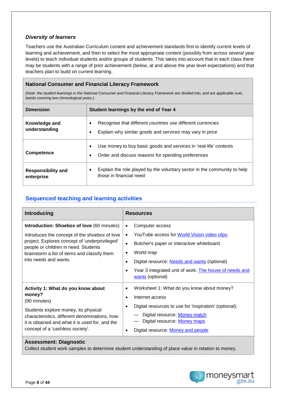### *Diversity of learners*

Teachers use the Australian Curriculum content and achievement standards first to identify current levels of learning and achievement, and then to select the most appropriate content (possibly from across several year levels) to teach individual students and/or groups of students. This takes into account that in each class there may be students with a range of prior achievement (below, at and above the year level expectations) and that teachers plan to build on current learning.

## **National Consumer and Financial Literacy Framework**

*(Note: the student learnings in the National Consumer and Financial Literacy Framework are divided into, and are applicable over, bands covering two chronological years.)*

| <b>Dimension</b>                        | Student learnings by the end of Year 4                                                                                                            |  |  |  |  |
|-----------------------------------------|---------------------------------------------------------------------------------------------------------------------------------------------------|--|--|--|--|
| Knowledge and<br>understanding          | Recognise that different countries use different currencies<br>Explain why similar goods and services may vary in price<br>$\bullet$              |  |  |  |  |
| <b>Competence</b>                       | Use money to buy basic goods and services in 'real-life' contexts<br>$\bullet$<br>Order and discuss reasons for spending preferences<br>$\bullet$ |  |  |  |  |
| <b>Responsibility and</b><br>enterprise | Explain the role played by the voluntary sector in the community to help<br>those in financial need                                               |  |  |  |  |

## **Sequenced teaching and learning activities**

| <b>Introducing</b>                                                                                                                                                                                                                                                    | <b>Resources</b>                                                                                                                                                                                                                                                                                                                            |
|-----------------------------------------------------------------------------------------------------------------------------------------------------------------------------------------------------------------------------------------------------------------------|---------------------------------------------------------------------------------------------------------------------------------------------------------------------------------------------------------------------------------------------------------------------------------------------------------------------------------------------|
| <b>Introduction: Shoebox of love (60 minutes)</b><br>Introduces the concept of the shoebox of love<br>project. Explores concept of 'underprivileged'<br>people or children in need. Students<br>brainstorm a list of items and classify them<br>into needs and wants. | Computer access<br>$\bullet$<br>YouTube access for World Vision video clips<br>$\bullet$<br>Butcher's paper or interactive whiteboard<br>$\bullet$<br>World map<br>$\bullet$<br>Digital resource: <b>Needs and wants</b> (optional)<br>$\bullet$<br>Year 3 integrated unit of work: The house of needs and<br>$\bullet$<br>wants (optional) |
| Activity 1: What do you know about<br>money?<br>(90 minutes)<br>Students explore money, its physical<br>characteristics, different denominations, how<br>it is obtained and what it is used for, and the<br>concept of a 'cashless society'.                          | Worksheet 1: What do you know about money?<br>$\bullet$<br>Internet access<br>$\bullet$<br>Digital resources to use for 'inspiration' (optional):<br>$\bullet$<br>Digital resource: Money match<br>Digital resource: Money maps<br>Digital resource: Money and people                                                                       |

#### **Assessment: Diagnostic**

Collect student work samples to determine student understanding of place value in relation to money.

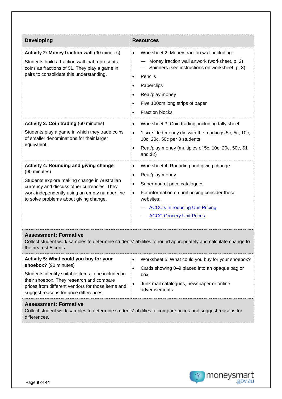| <b>Developing</b>                                                                                                                                                                                                                                                 | <b>Resources</b>                                                                                                                                                                                                                                                                                                          |  |  |  |
|-------------------------------------------------------------------------------------------------------------------------------------------------------------------------------------------------------------------------------------------------------------------|---------------------------------------------------------------------------------------------------------------------------------------------------------------------------------------------------------------------------------------------------------------------------------------------------------------------------|--|--|--|
| Activity 2: Money fraction wall (90 minutes)<br>Students build a fraction wall that represents<br>coins as fractions of \$1. They play a game in<br>pairs to consolidate this understanding.                                                                      | Worksheet 2: Money fraction wall, including:<br>$\bullet$<br>Money fraction wall artwork (worksheet, p. 2)<br>Spinners (see instructions on worksheet, p. 3)<br>Pencils<br>$\bullet$<br>Paperclips<br>$\bullet$<br>Real/play money<br>Five 100cm long strips of paper<br>$\bullet$<br><b>Fraction blocks</b><br>$\bullet$ |  |  |  |
| <b>Activity 3: Coin trading (60 minutes)</b><br>Students play a game in which they trade coins<br>of smaller denominations for their larger<br>equivalent.                                                                                                        | Worksheet 3: Coin trading, including tally sheet<br>$\bullet$<br>1 six-sided money die with the markings 5c, 5c, 10c,<br>$\bullet$<br>10c, 20c, 50c per 3 students<br>Real/play money (multiples of 5c, 10c, 20c, 50c, \$1<br>$\bullet$<br>and $$2)$                                                                      |  |  |  |
| <b>Activity 4: Rounding and giving change</b><br>(90 minutes)<br>Students explore making change in Australian<br>currency and discuss other currencies. They<br>work independently using an empty number line<br>to solve problems about giving change.           | Worksheet 4: Rounding and giving change<br>$\bullet$<br>Real/play money<br>$\bullet$<br>Supermarket price catalogues<br>$\bullet$<br>For information on unit pricing consider these<br>$\bullet$<br>websites:<br><b>ACCC's Introducing Unit Pricing</b><br><b>ACCC Grocery Unit Prices</b>                                |  |  |  |
| <b>Assessment: Formative</b><br>the nearest 5 cents.                                                                                                                                                                                                              | Collect student work samples to determine students' abilities to round appropriately and calculate change to                                                                                                                                                                                                              |  |  |  |
| Activity 5: What could you buy for your<br>shoebox? (90 minutes)<br>Students identify suitable items to be included in<br>their shoebox. They research and compare<br>prices from different vendors for those items and<br>suggest reasons for price differences. | Worksheet 5: What could you buy for your shoebox?<br>٠<br>Cards showing 0-9 placed into an opaque bag or<br>$\bullet$<br>box<br>Junk mail catalogues, newspaper or online<br>advertisements                                                                                                                               |  |  |  |

## **Assessment: Formative**

Collect student work samples to determine students' abilities to compare prices and suggest reasons for differences.

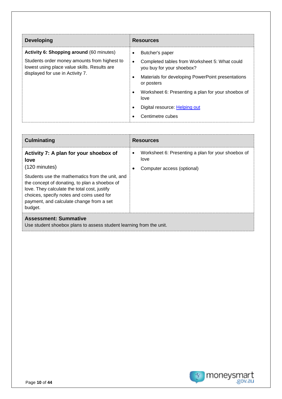| <b>Developing</b>                                                                                                                                                                   | <b>Resources</b>                                                                                                                                                                                                                                                                                 |
|-------------------------------------------------------------------------------------------------------------------------------------------------------------------------------------|--------------------------------------------------------------------------------------------------------------------------------------------------------------------------------------------------------------------------------------------------------------------------------------------------|
| <b>Activity 6: Shopping around (60 minutes)</b><br>Students order money amounts from highest to<br>lowest using place value skills. Results are<br>displayed for use in Activity 7. | Butcher's paper<br>Completed tables from Worksheet 5: What could<br>$\bullet$<br>you buy for your shoebox?<br>Materials for developing PowerPoint presentations<br>or posters<br>Worksheet 6: Presenting a plan for your shoebox of<br>love<br>Digital resource: Helping out<br>Centimetre cubes |

| <b>Culminating</b>                                                                                                                                                                                                                                                                                                                | <b>Resources</b>                                                                                           |
|-----------------------------------------------------------------------------------------------------------------------------------------------------------------------------------------------------------------------------------------------------------------------------------------------------------------------------------|------------------------------------------------------------------------------------------------------------|
| Activity 7: A plan for your shoebox of<br>love<br>$(120 \text{ minutes})$<br>Students use the mathematics from the unit, and<br>the concept of donating, to plan a shoebox of<br>love. They calculate the total cost, justify<br>choices, specify notes and coins used for<br>payment, and calculate change from a set<br>budget. | Worksheet 6: Presenting a plan for your shoebox of<br>$\bullet$<br>love<br>Computer access (optional)<br>٠ |
| <b>Assessment: Summative</b><br>Llee student shooboy plans to assess student learning from the unit                                                                                                                                                                                                                               |                                                                                                            |

Use student shoebox plans to assess student learning from the unit.

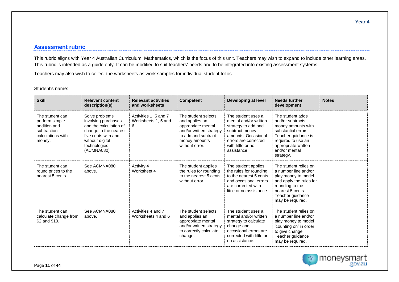#### **Assessment rubric**

This rubric aligns with Year 4 Australian Curriculum: Mathematics, which is the focus of this unit. Teachers may wish to expand to include other learning areas. This rubric is intended as a guide only. It can be modified to suit teachers' needs and to be integrated into existing assessment systems.

Teachers may also wish to collect the worksheets as work samples for individual student folios.

Student's name: \_\_\_\_\_\_\_\_\_\_\_\_\_\_\_\_\_\_\_\_\_\_\_\_\_\_\_\_\_\_\_\_\_\_\_\_\_\_\_\_\_\_\_\_\_\_\_\_\_\_\_\_\_\_\_\_\_\_\_\_\_\_\_\_\_\_\_\_\_\_\_\_\_\_\_\_\_\_\_\_\_\_\_\_\_\_\_\_\_\_\_\_\_\_\_\_\_\_\_\_\_\_\_\_\_\_\_\_\_\_\_\_

| <b>Skill</b>                                                                                    | <b>Relevant content</b><br>description(s)                                                                                                                        | <b>Relevant activities</b><br>and worksheets      | <b>Competent</b>                                                                                                                                 | <b>Developing at level</b>                                                                                                                                              | <b>Needs further</b><br>development                                                                                                                                                 | <b>Notes</b> |
|-------------------------------------------------------------------------------------------------|------------------------------------------------------------------------------------------------------------------------------------------------------------------|---------------------------------------------------|--------------------------------------------------------------------------------------------------------------------------------------------------|-------------------------------------------------------------------------------------------------------------------------------------------------------------------------|-------------------------------------------------------------------------------------------------------------------------------------------------------------------------------------|--------------|
| The student can<br>perform simple<br>addition and<br>subtraction<br>calculations with<br>money. | Solve problems<br>involving purchases<br>and the calculation of<br>change to the nearest<br>five cents with and<br>without digital<br>technologies<br>(ACMNA080) | Activities 1, 5 and 7<br>Worksheets 1, 5 and<br>6 | The student selects<br>and applies an<br>appropriate mental<br>and/or written strategy<br>to add and subtract<br>money amounts<br>without error. | The student uses a<br>mental and/or written<br>strategy to add and<br>subtract money<br>amounts, Occasional<br>errors are corrected<br>with little or no<br>assistance. | The student adds<br>and/or subtracts<br>money amounts with<br>substantial errors.<br>Teacher guidance is<br>required to use an<br>appropriate written<br>and/or mental<br>strategy. |              |
| The student can<br>round prices to the<br>nearest 5 cents.                                      | See ACMNA080<br>above.                                                                                                                                           | Activity 4<br>Worksheet 4                         | The student applies<br>the rules for rounding<br>to the nearest 5 cents<br>without error.                                                        | The student applies<br>the rules for rounding<br>to the nearest 5 cents<br>and occasional errors<br>are corrected with<br>little or no assistance.                      | The student relies on<br>a number line and/or<br>play money to model<br>and apply the rules for<br>rounding to the<br>nearest 5 cents.<br>Teacher guidance<br>may be required.      |              |
| The student can<br>calculate change from<br>\$2 and \$10.                                       | See ACMNA080<br>above.                                                                                                                                           | Activities 4 and 7<br>Worksheets 4 and 6          | The student selects<br>and applies an<br>appropriate mental<br>and/or written strategy<br>to correctly calculate<br>change.                      | The student uses a<br>mental and/or written<br>strategy to calculate<br>change and<br>occasional errors are<br>corrected with little or<br>no assistance.               | The student relies on<br>a number line and/or<br>play money to model<br>'counting on' in order<br>to give change.<br>Teacher guidance<br>may be required.                           |              |

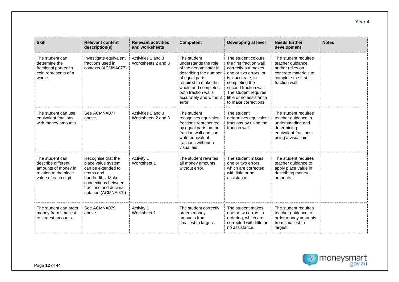| <b>Skill</b>                                                                                                  | <b>Relevant content</b><br>description(s)                                                                                                                               | <b>Relevant activities</b><br>and worksheets | <b>Competent</b>                                                                                                                                                                                                  | Developing at level                                                                                                                                                                                                                       | <b>Needs further</b><br>development                                                                                            | <b>Notes</b> |
|---------------------------------------------------------------------------------------------------------------|-------------------------------------------------------------------------------------------------------------------------------------------------------------------------|----------------------------------------------|-------------------------------------------------------------------------------------------------------------------------------------------------------------------------------------------------------------------|-------------------------------------------------------------------------------------------------------------------------------------------------------------------------------------------------------------------------------------------|--------------------------------------------------------------------------------------------------------------------------------|--------------|
| The student can<br>determine the<br>fractional part each<br>coin represents of a<br>whole.                    | Investigate equivalent<br>fractions used in<br>contexts (ACMNA077)                                                                                                      | Activities 2 and 3<br>Worksheets 2 and 3     | The student<br>understands the role<br>of the denominator in<br>describing the number<br>of equal parts<br>required to make the<br>whole and completes<br>both fraction walls<br>accurately and without<br>error. | The student colours<br>the first fraction wall<br>correctly but makes<br>one or two errors, or<br>is inaccurate, in<br>completing the<br>second fraction wall.<br>The student requires<br>little or no assistance<br>to make corrections. | The student requires<br>teacher guidance<br>and/or relies on<br>concrete materials to<br>complete the first<br>fraction wall.  |              |
| The student can use<br>equivalent fractions<br>with money amounts.                                            | See ACMNA077<br>above.                                                                                                                                                  | Activities 2 and 3<br>Worksheets 2 and 3     | The student<br>recognises equivalent<br>fractions represented<br>by equal parts on the<br>fraction wall and can<br>write equivalent<br>fractions without a<br>visual aid.                                         | The student<br>determines equivalent<br>fractions by using the<br>fraction wall.                                                                                                                                                          | The student requires<br>teacher guidance in<br>understanding and<br>determining<br>equivalent fractions<br>using a visual aid. |              |
| The student can<br>describe different<br>amounts of money in<br>relation to the place<br>value of each digit. | Recognise that the<br>place value system<br>can be extended to<br>tenths and<br>hundredths, Make<br>connections between<br>fractions and decimal<br>notation (ACMNA079) | Activity 1<br>Worksheet 1                    | The student rewrites<br>all money amounts<br>without error.                                                                                                                                                       | The student makes<br>one or two errors.<br>which are corrected<br>with little or no<br>assistance.                                                                                                                                        | The student requires<br>teacher guidance to<br>apply place value in<br>describing money<br>amounts.                            |              |
| The student can order<br>money from smallest<br>to largest amounts.                                           | See ACMNA079<br>above.                                                                                                                                                  | Activity 1<br>Worksheet 1                    | The student correctly<br>orders money<br>amounts from<br>smallest to largest.                                                                                                                                     | The student makes<br>one or two errors in<br>ordering, which are<br>corrected with little or<br>no assistance.                                                                                                                            | The student requires<br>teacher guidance to<br>order money amounts<br>from smallest to<br>largest.                             |              |



**Year 4**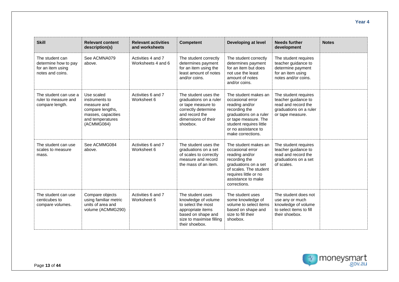| <b>Skill</b>                                                                     | <b>Relevant content</b><br>description(s)                                                                               | <b>Relevant activities</b><br>and worksheets | <b>Competent</b>                                                                                                                                       | Developing at level                                                                                                                                                                                  | <b>Needs further</b><br>development                                                                              | <b>Notes</b> |
|----------------------------------------------------------------------------------|-------------------------------------------------------------------------------------------------------------------------|----------------------------------------------|--------------------------------------------------------------------------------------------------------------------------------------------------------|------------------------------------------------------------------------------------------------------------------------------------------------------------------------------------------------------|------------------------------------------------------------------------------------------------------------------|--------------|
| The student can<br>determine how to pay<br>for an item using<br>notes and coins. | See ACMNA079<br>above.                                                                                                  | Activities 4 and 7<br>Worksheets 4 and 6     | The student correctly<br>determines payment<br>for an item using the<br>least amount of notes<br>and/or coins.                                         | The student correctly<br>determines payment<br>for an item but does<br>not use the least<br>amount of notes<br>and/or coins.                                                                         | The student requires<br>teacher guidance to<br>determine payment<br>for an item using<br>notes and/or coins.     |              |
| The student can use a<br>ruler to measure and<br>compare length.                 | Use scaled<br>instruments to<br>measure and<br>compare lengths,<br>masses, capacities<br>and temperatures<br>(ACMMG084) | Activities 6 and 7<br>Worksheet 6            | The student uses the<br>graduations on a ruler<br>or tape measure to<br>correctly determine<br>and record the<br>dimensions of their<br>shoebox.       | The student makes an<br>occasional error<br>reading and/or<br>recording the<br>graduations on a ruler<br>or tape measure. The<br>student requires little<br>or no assistance to<br>make corrections. | The student requires<br>teacher guidance to<br>read and record the<br>graduations on a ruler<br>or tape measure. |              |
| The student can use<br>scales to measure<br>mass.                                | See ACMMG084<br>above.                                                                                                  | Activities 6 and 7<br>Worksheet 6            | The student uses the<br>graduations on a set<br>of scales to correctly<br>measure and record<br>the mass of an item.                                   | The student makes an<br>occasional error<br>reading and/or<br>recording the<br>graduations on a set<br>of scales. The student<br>requires little or no<br>assistance to make<br>corrections.         | The student requires<br>teacher guidance to<br>read and record the<br>graduations on a set<br>of scales.         |              |
| The student can use<br>centicubes to<br>compare volumes.                         | Compare objects<br>using familiar metric<br>units of area and<br>volume (ACMMG290)                                      | Activities 6 and 7<br>Worksheet 6            | The student uses<br>knowledge of volume<br>to select the most<br>appropriate items<br>based on shape and<br>size to maximise filling<br>their shoebox. | The student uses<br>some knowledge of<br>volume to select items<br>based on shape and<br>size to fill their<br>shoebox.                                                                              | The student does not<br>use any or much<br>knowledge of volume<br>to select items to fill<br>their shoebox.      |              |

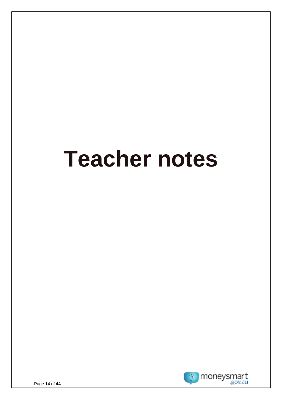# **Teacher notes**

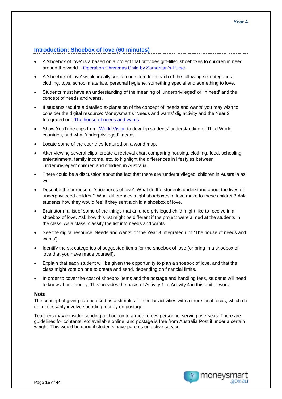## **Introduction: Shoebox of love (60 minutes)**

- A 'shoebox of love' is a based on a project that provides gift-filled shoeboxes to children in need around the world – [Operation Christmas Child by Samaritan's Purse.](https://www.samaritanspurse.org.au/what-we-do/operation-christmas-child/)
- A 'shoebox of love' would ideally contain one item from each of the following six categories: clothing, toys, school materials, personal hygiene, something special and something to love.
- Students must have an understanding of the meaning of 'underprivileged' or 'in need' and the concept of needs and wants.
- If students require a detailed explanation of the concept of 'needs and wants' you may wish to consider the digital resource: Moneysmart's 'Needs and wants' digiactivity and the Year 3 Integrated unit [The house of needs and wants.](https://moneysmart.gov.au/teaching-resources/the-house-of-needs-and-wants?utm_source=teaching-resource&utm_medium=download&utm_campaign=unit-of-work)
- Show YouTube clips from [World Vision](http://www.bing.com/videos/search?q=world+vision+video+clips&qpvt=world+vision+video+clips&FORM=VQFRML#view=detail&mid=D6EB9AE72CB2E9317A05D6EB9AE72CB2E9317A05) to develop students' understanding of Third World countries, and what 'underprivileged' means.
- Locate some of the countries featured on a world map.
- After viewing several clips, create a retrieval chart comparing housing, clothing, food, schooling, entertainment, family income, etc. to highlight the differences in lifestyles between 'underprivileged' children and children in Australia.
- There could be a discussion about the fact that there are 'underprivileged' children in Australia as well.
- Describe the purpose of 'shoeboxes of love'. What do the students understand about the lives of underprivileged children? What differences might shoeboxes of love make to these children? Ask students how they would feel if they sent a child a shoebox of love.
- Brainstorm a list of some of the things that an underprivileged child might like to receive in a shoebox of love. Ask how this list might be different if the project were aimed at the students in the class. As a class, classify the list into needs and wants.
- See the digital resource 'Needs and wants' or the Year 3 Integrated unit 'The house of needs and wants').
- Identify the six categories of suggested items for the shoebox of love (or bring in a shoebox of love that you have made yourself).
- Explain that each student will be given the opportunity to plan a shoebox of love, and that the class might vote on one to create and send, depending on financial limits.
- In order to cover the cost of shoebox items and the postage and handling fees, students will need to know about money. This provides the basis of Activity 1 to Activity 4 in this unit of work.

#### **Note**

The concept of giving can be used as a stimulus for similar activities with a more local focus, which do not necessarily involve spending money on postage.

Teachers may consider sending a shoebox to armed forces personnel serving overseas. There are guidelines for contents, etc available online, and postage is free from Australia Post if under a certain weight. This would be good if students have parents on active service.

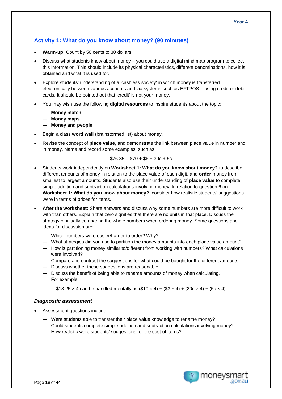## **Activity 1: What do you know about money? (90 minutes)**

- **Warm-up:** Count by 50 cents to 30 dollars.
- Discuss what students know about money you could use a digital mind map program to collect this information. This should include its physical characteristics, different denominations, how it is obtained and what it is used for.
- Explore students' understanding of a 'cashless society' in which money is transferred electronically between various accounts and via systems such as EFTPOS – using credit or debit cards. It should be pointed out that 'credit' is not your money.
- You may wish use the following **digital resources** to inspire students about the topic:
	- **Money match**
	- **Money maps**
	- **Money and people**
- Begin a class **word wall** (brainstormed list) about money.
- Revise the concept of **place value**, and demonstrate the link between place value in number and in money. Name and record some examples, such as:

$$
$76.35 = $70 + $6 + 30c + 5c
$$

- Students work independently on **Worksheet 1: What do you know about money?** to describe different amounts of money in relation to the place value of each digit, and **order** money from smallest to largest amounts. Students also use their understanding of **place value** to complete simple addition and subtraction calculations involving money. In relation to question 6 on **Worksheet 1: What do you know about money?**, consider how realistic students' suggestions were in terms of prices for items.
- **After the worksheet:** Share answers and discuss why some numbers are more difficult to work with than others. Explain that zero signifies that there are no units in that place. Discuss the strategy of initially comparing the whole numbers when ordering money. Some questions and ideas for discussion are:
	- Which numbers were easier/harder to order? Why?
	- What strategies did you use to partition the money amounts into each place value amount?
	- How is partitioning money similar to/different from working with numbers? What calculations were involved?
	- Compare and contrast the suggestions for what could be bought for the different amounts.
	- Discuss whether these suggestions are reasonable.
	- Discuss the benefit of being able to rename amounts of money when calculating. For example:

\$13.25 x 4 can be handled mentally as  $(\$10 \times 4) + (\$3 \times 4) + (20c \times 4) + (5c \times 4)$ 

#### *Diagnostic assessment*

- Assessment questions include:
	- Were students able to transfer their place value knowledge to rename money?
	- Could students complete simple addition and subtraction calculations involving money?
	- How realistic were students' suggestions for the cost of items?

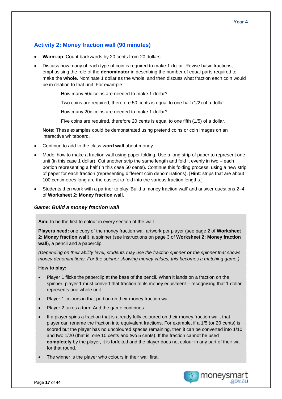## **Activity 2: Money fraction wall (90 minutes)**

- **Warm-up:** Count backwards by 20 cents from 20 dollars.
- Discuss how many of each type of coin is required to make 1 dollar. Revise basic fractions, emphasising the role of the **denominator** in describing the number of equal parts required to make the **whole**. Nominate 1 dollar as the whole, and then discuss what fraction each coin would be in relation to that unit. For example:
	- How many 50c coins are needed to make 1 dollar?
	- Two coins are required, therefore 50 cents is equal to one half (1/2) of a dollar.
	- How many 20c coins are needed to make 1 dollar?
	- Five coins are required, therefore 20 cents is equal to one fifth (1/5) of a dollar.

**Note:** These examples could be demonstrated using pretend coins or coin images on an interactive whiteboard.

- Continue to add to the class **word wall** about money.
- Model how to make a fraction wall using paper folding. Use a long strip of paper to represent one unit (in this case 1 dollar). Cut another strip the same length and fold it evenly in two – each portion representing a half (in this case 50 cents). Continue this folding process, using a new strip of paper for each fraction (representing different coin denominations). [**Hint**: strips that are about 100 centimetres long are the easiest to fold into the various fraction lengths.]
- Students then work with a partner to play 'Build a money fraction wall' and answer questions 2–4 of **Worksheet 2: Money fraction wall**.

### *Game: Build a money fraction wall*

**Aim:** to be the first to colour in every section of the wall

**Players need:** one copy of the money fraction wall artwork per player (see page 2 of **Worksheet 2: Money fraction wall**), a spinner (see instructions on page 3 of **Worksheet 2: Money fraction wall**), a pencil and a paperclip

*(Depending on their ability level, students may use the fraction spinner or the spinner that shows money denominations. For the spinner showing money values, this becomes a matching game.)*

#### **How to play:**

- Player 1 flicks the paperclip at the base of the pencil. When it lands on a fraction on the spinner, player 1 must convert that fraction to its money equivalent – recognising that 1 dollar represents one whole unit.
- Player 1 colours in that portion on their money fraction wall.
- Player 2 takes a turn. And the game continues.
- If a player spins a fraction that is already fully coloured on their money fraction wall, that player can rename the fraction into equivalent fractions. For example, if a 1/5 (or 20 cents) is scored but the player has no uncoloured spaces remaining, then it can be converted into 1/10 and two 1/20 (that is, one 10 cents and two 5 cents). If the fraction cannot be used **completely** by the player, it is forfeited and the player does not colour in any part of their wall for that round.
- The winner is the player who colours in their wall first.

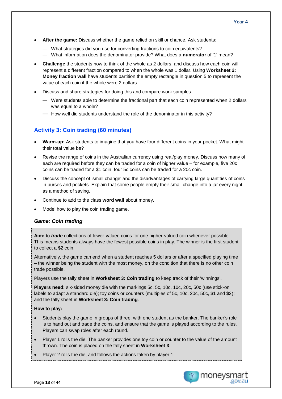- **After the game:** Discuss whether the game relied on skill or chance. Ask students:
	- What strategies did you use for converting fractions to coin equivalents?
	- What information does the denominator provide? What does a **numerator** of '1' mean?
- **Challenge** the students now to think of the whole as 2 dollars, and discuss how each coin will represent a different fraction compared to when the whole was 1 dollar. Using **Worksheet 2: Money fraction wall** have students partition the empty rectangle in question 5 to represent the value of each coin if the whole were 2 dollars.
- Discuss and share strategies for doing this and compare work samples.
	- Were students able to determine the fractional part that each coin represented when 2 dollars was equal to a whole?
	- How well did students understand the role of the denominator in this activity?

## **Activity 3: Coin trading (60 minutes)**

- **Warm-up:** Ask students to imagine that you have four different coins in your pocket. What might their total value be?
- Revise the range of coins in the Australian currency using real/play money. Discuss how many of each are required before they can be traded for a coin of higher value – for example, five 20c coins can be traded for a \$1 coin; four 5c coins can be traded for a 20c coin.
- Discuss the concept of 'small change' and the disadvantages of carrying large quantities of coins in purses and pockets. Explain that some people empty their small change into a jar every night as a method of saving.
- Continue to add to the class **word wall** about money.
- Model how to play the coin trading game.

### *Game: Coin trading*

**Aim:** to *trade* collections of lower-valued coins for one higher-valued coin whenever possible. This means students always have the fewest possible coins in play. The winner is the first student to collect a \$2 coin.

Alternatively, the game can end when a student reaches 5 dollars or after a specified playing time – the winner being the student with the most money, on the condition that there is no other coin trade possible.

Players use the tally sheet in **Worksheet 3: Coin trading** to keep track of their 'winnings'.

**Players need:** six-sided money die with the markings 5c, 5c, 10c, 10c, 20c, 50c (use stick-on labels to adapt a standard die); toy coins or counters (multiples of 5c, 10c, 20c, 50c, \$1 and \$2); and the tally sheet in **Worksheet 3: Coin trading**.

#### **How to play:**

- Students play the game in groups of three, with one student as the banker. The banker's role is to hand out and trade the coins, and ensure that the game is played according to the rules. Players can swap roles after each round.
- Player 1 rolls the die. The banker provides one toy coin or counter to the value of the amount thrown. The coin is placed on the tally sheet in **Worksheet 3**.
- Player 2 rolls the die, and follows the actions taken by player 1.

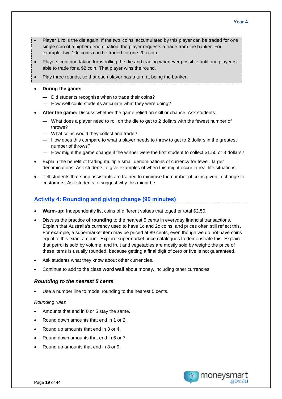- Player 1 rolls the die again. If the two 'coins' accumulated by this player can be traded for one single coin of a higher denomination, the player requests a trade from the banker. For example, two 10c coins can be traded for one 20c coin.
- Players continue taking turns rolling the die and trading whenever possible until one player is able to trade for a \$2 coin. That player wins the round.
- Play three rounds, so that each player has a turn at being the banker.
- **During the game:**
	- Did students recognise when to trade their coins?
	- How well could students articulate what they were doing?
- **After the game:** Discuss whether the game relied on skill or chance. Ask students:
	- What does a player need to roll on the die to get to 2 dollars with the fewest number of throws?
	- What coins would they collect and trade?
	- How does this compare to what a player needs to throw to get to 2 dollars in the greatest number of throws?
	- How might the game change if the winner were the first student to collect \$1.50 or 3 dollars?
- Explain the benefit of trading multiple small denominations of currency for fewer, larger denominations. Ask students to give examples of when this might occur in real-life situations.
- Tell students that shop assistants are trained to minimise the number of coins given in change to customers. Ask students to suggest why this might be.

## **Activity 4: Rounding and giving change (90 minutes)**

- **Warm-up:** Independently list coins of different values that together total \$2.50.
- Discuss the practice of **rounding** to the nearest 5 cents in everyday financial transactions. Explain that Australia's currency used to have 1c and 2c coins, and prices often still reflect this. For example, a supermarket item may be priced at 89 cents, even though we do not have coins equal to this exact amount. Explore supermarket price catalogues to demonstrate this. Explain that petrol is sold by volume, and fruit and vegetables are mostly sold by weight; the price of these items is usually rounded, because getting a final digit of zero or five is not guaranteed.
- Ask students what they know about other currencies.
- Continue to add to the class **word wall** about money, including other currencies.

#### *Rounding to the nearest 5 cents*

Use a number line to model rounding to the nearest 5 cents.

#### *Rounding rules*

- Amounts that end in 0 or 5 stay the same.
- Round down amounts that end in 1 or 2.
- Round up amounts that end in 3 or 4.
- Round down amounts that end in 6 or 7.
- Round up amounts that end in 8 or 9.

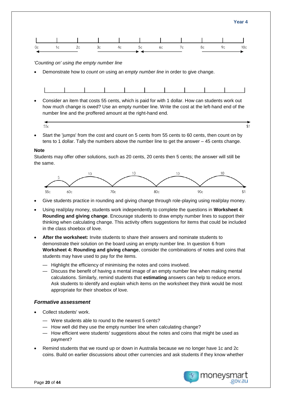$$1$ 



*'Counting on' using the empty number line*

• Demonstrate how to *count on* using an *empty number line* in order to give change.

• Consider an item that costs 55 cents, which is paid for with 1 dollar. How can students work out how much change is owed? Use an empty number line. Write the cost at the left-hand end of the number line and the proffered amount at the right-hand end.

• Start the 'jumps' from the cost and count on 5 cents from 55 cents to 60 cents, then count on by tens to 1 dollar. Tally the numbers above the number line to get the answer – 45 cents change.

#### **Note**

Students may offer other solutions, such as 20 cents, 20 cents then 5 cents; the answer will still be the same.



- Give students practice in rounding and giving change through role-playing using real/play money.
- Using real/play money, students work independently to complete the questions in **Worksheet 4: Rounding and giving change**. Encourage students to draw empty number lines to support their thinking when calculating change. This activity offers suggestions for items that could be included in the class shoebox of love.
- **After the worksheet:** Invite students to share their answers and nominate students to demonstrate their solution on the board using an empty number line. In question 6 from **Worksheet 4: Rounding and giving change**, consider the combinations of notes and coins that students may have used to pay for the items.
	- Highlight the efficiency of minimising the notes and coins involved.
	- Discuss the benefit of having a mental image of an empty number line when making mental calculations. Similarly, remind students that **estimating** answers can help to reduce errors. Ask students to identify and explain which items on the worksheet they think would be most appropriate for their shoebox of love.

#### *Formative assessment*

- Collect students' work.
	- Were students able to round to the nearest 5 cents?
	- How well did they use the empty number line when calculating change?
	- How efficient were students' suggestions about the notes and coins that might be used as payment?
- Remind students that we round up or down in Australia because we no longer have 1c and 2c coins. Build on earlier discussions about other currencies and ask students if they know whether

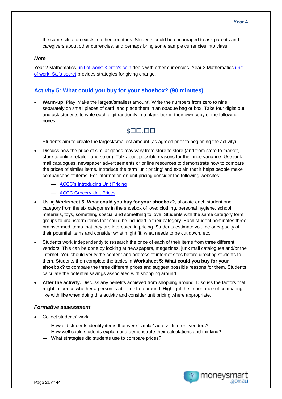the same situation exists in other countries. Students could be encouraged to ask parents and caregivers about other currencies, and perhaps bring some sample currencies into class.

#### *Note*

Year 2 Mathematics [unit of work: Kieren's coin](https://moneysmart.gov.au/teaching-resources/kieren-s-coin-unit-of-work?utm_source=teaching-resource&utm_medium=download&utm_campaign=unit-of-work) deals with other currencies. Year 3 Mathematics [unit](https://moneysmart.gov.au/teaching-resources/sal-s-secret-unit-of-work?utm_source=teaching-resource&utm_medium=download&utm_campaign=unit-of-work)  [of work: Sal's secret](https://moneysmart.gov.au/teaching-resources/sal-s-secret-unit-of-work?utm_source=teaching-resource&utm_medium=download&utm_campaign=unit-of-work) provides strategies for giving change.

#### **Activity 5: What could you buy for your shoebox? (90 minutes)**

• **Warm-up:** Play 'Make the largest/smallest amount'. Write the numbers from zero to nine separately on small pieces of card, and place them in an opaque bag or box. Take four digits out and ask students to write each digit randomly in a blank box in their own copy of the following boxes:

## $$ \square \square \square \square$

Students aim to create the largest/smallest amount (as agreed prior to beginning the activity).

- Discuss how the price of similar goods may vary from store to store (and from store to market, store to online retailer, and so on). Talk about possible reasons for this price variance. Use junk mail catalogues, newspaper advertisements or online resources to demonstrate how to compare the prices of similar items. Introduce the term 'unit pricing' and explain that it helps people make comparisons of items. For information on unit pricing consider the following websites:
	- [ACCC's Introducing Unit Pricing](http://www.accc.gov.au/system/files/Introducting%20Unit%20Pricing.pdf)
	- [ACCC Grocery Unit Prices](https://www.accc.gov.au/consumers/groceries/grocery-unit-prices)
- Using **Worksheet 5: What could you buy for your shoebox?**, allocate each student one category from the six categories in the shoebox of love: clothing, personal hygiene, school materials, toys, something special and something to love. Students with the same category form groups to brainstorm items that could be included in their category. Each student nominates three brainstormed items that they are interested in pricing. Students estimate volume or capacity of their potential items and consider what might fit, what needs to be cut down, etc.
- Students work independently to research the price of each of their items from three different vendors. This can be done by looking at newspapers, magazines, junk mail catalogues and/or the internet. You should verify the content and address of internet sites before directing students to them. Students then complete the tables in **Worksheet 5: What could you buy for your shoebox?** to compare the three different prices and suggest possible reasons for them. Students calculate the potential savings associated with shopping around.
- **After the activity:** Discuss any benefits achieved from shopping around. Discuss the factors that might influence whether a person is able to shop around. Highlight the importance of comparing like with like when doing this activity and consider unit pricing where appropriate.

#### *Formative assessment*

- Collect students' work.
	- How did students identify items that were 'similar' across different vendors?
	- How well could students explain and demonstrate their calculations and thinking?
	- What strategies did students use to compare prices?

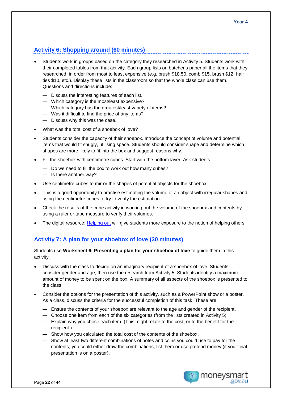## **Activity 6: Shopping around (60 minutes)**

- Students work in groups based on the category they researched in Activity 5. Students work with their completed tables from that activity. Each group lists on butcher's paper all the items that they researched, in order from most to least expensive (e.g. brush \$18.50, comb \$15, brush \$12, hair ties \$10, etc.). Display these lists in the classroom so that the whole class can use them. Questions and directions include:
	- Discuss the interesting features of each list.
	- Which category is the most/least expensive?
	- Which category has the greatest/least variety of items?
	- Was it difficult to find the price of any items?
	- Discuss why this was the case.
- What was the total cost of a shoebox of love?
- Students consider the capacity of their shoebox. Introduce the concept of volume and potential items that would fit snugly, utilising space. Students should consider shape and determine which shapes are more likely to fit into the box and suggest reasons why.
- Fill the shoebox with centimetre cubes. Start with the bottom layer. Ask students:
	- Do we need to fill the box to work out how many cubes?
	- Is there another way?
- Use centimetre cubes to mirror the shapes of potential objects for the shoebox.
- This is a good opportunity to practise estimating the volume of an object with irregular shapes and using the centimetre cubes to try to verify the estimation.
- Check the results of the cube activity in working out the volume of the shoebox and contents by using a ruler or tape measure to verify their volumes.
- The digital resource: [Helping out](https://moneysmart.gov.au/teaching-resources/helping-out?utm_source=teaching-resource&utm_medium=download&utm_campaign=unit-of-work) will give students more exposure to the notion of helping others.

## **Activity 7: A plan for your shoebox of love (30 minutes)**

Students use **Worksheet 6: Presenting a plan for your shoebox of love** to guide them in this activity.

- Discuss with the class to decide on an imaginary recipient of a shoebox of love. Students consider gender and age, then use the research from Activity 5. Students identify a maximum amount of money to be spent on the box. A summary of all aspects of the shoebox is presented to the class.
- Consider the options for the presentation of this activity, such as a PowerPoint show or a poster. As a class, discuss the criteria for the successful completion of this task. These are:
	- Ensure the contents of your shoebox are relevant to the age and gender of the recipient.
	- Choose one item from each of the six categories (from the lists created in Activity 5).
	- Explain why you chose each item. (This might relate to the cost, or to the benefit for the recipient.)
	- Show how you calculated the total cost of the contents of the shoebox.
	- Show at least two different combinations of notes and coins you could use to pay for the contents; you could either draw the combinations, list them or use pretend money (if your final presentation is on a poster).

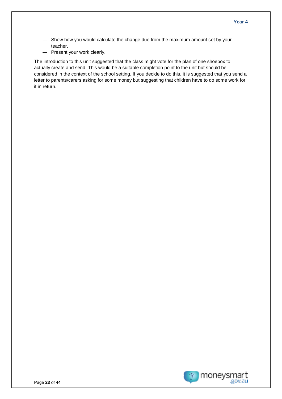- Show how you would calculate the change due from the maximum amount set by your teacher.
- Present your work clearly.

The introduction to this unit suggested that the class might vote for the plan of one shoebox to actually create and send. This would be a suitable completion point to the unit but should be considered in the context of the school setting. If you decide to do this, it is suggested that you send a letter to parents/carers asking for some money but suggesting that children have to do some work for it in return.

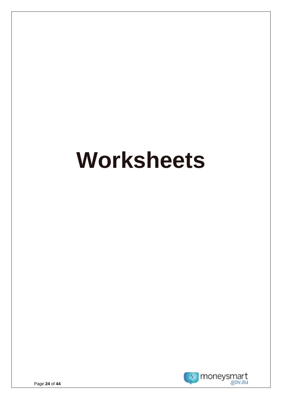# **Worksheets**

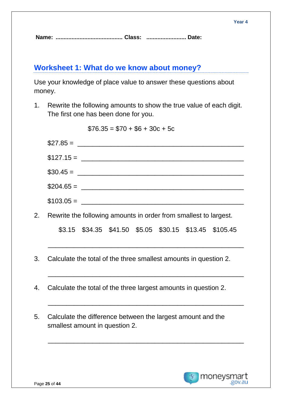## **Worksheet 1: What do we know about money?**

Use your knowledge of place value to answer these questions about money.

1. Rewrite the following amounts to show the true value of each digit. The first one has been done for you.

 $$76.35 = $70 + $6 + 30c + 5c$  $$27.85 =$  $$127.15 =$ \$30.45 = \_\_\_\_\_\_\_\_\_\_\_\_\_\_\_\_\_\_\_\_\_\_\_\_\_\_\_\_\_\_\_\_\_\_\_\_\_\_\_\_\_\_\_\_\_ \$204.65 = \_\_\_\_\_\_\_\_\_\_\_\_\_\_\_\_\_\_\_\_\_\_\_\_\_\_\_\_\_\_\_\_\_\_\_\_\_\_\_\_\_\_\_\_ \$103.05 = \_\_\_\_\_\_\_\_\_\_\_\_\_\_\_\_\_\_\_\_\_\_\_\_\_\_\_\_\_\_\_\_\_\_\_\_\_\_\_\_\_\_\_\_ 2. Rewrite the following amounts in order from smallest to largest. \$3.15 \$34.35 \$41.50 \$5.05 \$30.15 \$13.45 \$105.45 \_\_\_\_\_\_\_\_\_\_\_\_\_\_\_\_\_\_\_\_\_\_\_\_\_\_\_\_\_\_\_\_\_\_\_\_\_\_\_\_\_\_\_\_\_\_\_\_\_\_\_\_\_ 3. Calculate the total of the three smallest amounts in question 2. \_\_\_\_\_\_\_\_\_\_\_\_\_\_\_\_\_\_\_\_\_\_\_\_\_\_\_\_\_\_\_\_\_\_\_\_\_\_\_\_\_\_\_\_\_\_\_\_\_\_\_\_\_ 4. Calculate the total of the three largest amounts in question 2. \_\_\_\_\_\_\_\_\_\_\_\_\_\_\_\_\_\_\_\_\_\_\_\_\_\_\_\_\_\_\_\_\_\_\_\_\_\_\_\_\_\_\_\_\_\_\_\_\_\_\_\_\_

5. Calculate the difference between the largest amount and the smallest amount in question 2.

\_\_\_\_\_\_\_\_\_\_\_\_\_\_\_\_\_\_\_\_\_\_\_\_\_\_\_\_\_\_\_\_\_\_\_\_\_\_\_\_\_\_\_\_\_\_\_\_\_\_\_\_\_

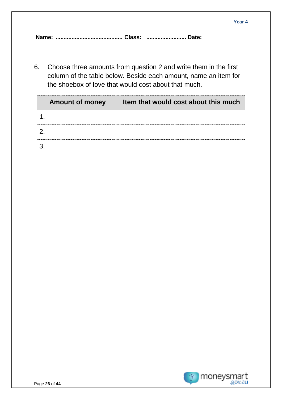6. Choose three amounts from question 2 and write them in the first column of the table below. Beside each amount, name an item for the shoebox of love that would cost about that much.

| <b>Amount of money</b> | Item that would cost about this much |
|------------------------|--------------------------------------|
|                        |                                      |
|                        |                                      |
|                        |                                      |

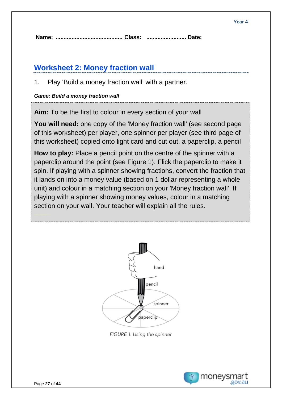# **Worksheet 2: Money fraction wall**

1. Play 'Build a money fraction wall' with a partner.

## *Game: Build a money fraction wall*

**Aim:** To be the first to colour in every section of your wall

**You will need:** one copy of the 'Money fraction wall' (see second page of this worksheet) per player, one spinner per player (see third page of this worksheet) copied onto light card and cut out, a paperclip, a pencil

**How to play:** Place a pencil point on the centre of the spinner with a paperclip around the point (see Figure 1). Flick the paperclip to make it spin. If playing with a spinner showing fractions, convert the fraction that it lands on into a money value (based on 1 dollar representing a whole unit) and colour in a matching section on your 'Money fraction wall'. If playing with a spinner showing money values, colour in a matching section on your wall. Your teacher will explain all the rules.



FIGURE 1: Using the spinner

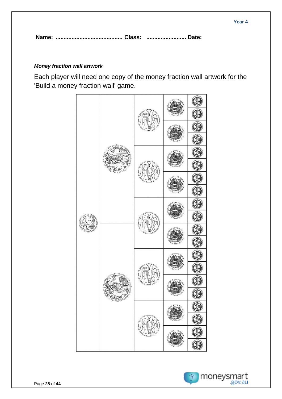## *Money fraction wall artwork*

Each player will need one copy of the money fraction wall artwork for the 'Build a money fraction wall' game.



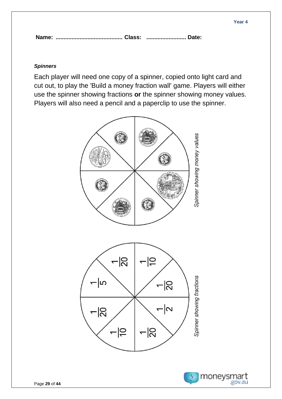## *Spinners*

Each player will need one copy of a spinner, copied onto light card and cut out, to play the 'Build a money fraction wall' game. Players will either use the spinner showing fractions **or** the spinner showing money values. Players will also need a pencil and a paperclip to use the spinner.

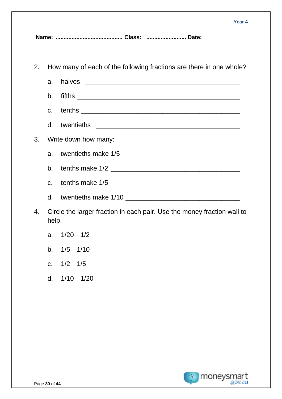2. How many of each of the following fractions are there in one whole? a. halves \_\_\_\_\_\_\_\_\_\_\_\_\_\_\_\_\_\_\_\_\_\_\_\_\_\_\_\_\_\_\_\_\_\_\_\_\_\_\_\_\_\_ b. fifths \_\_\_\_\_\_\_\_\_\_\_\_\_\_\_\_\_\_\_\_\_\_\_\_\_\_\_\_\_\_\_\_\_\_\_\_\_\_\_\_\_\_\_\_ c. tenths **comes that the component of the component of the component of the component of the component of the component of the component of the component of the component of the component of the component of the component** d. twentieths \_\_\_\_\_\_\_\_\_\_\_\_\_\_\_\_\_\_\_\_\_\_\_\_\_\_\_\_\_\_\_\_\_\_\_\_\_\_\_ 3. Write down how many: a. twentieths make 1/5 \_\_\_\_\_\_\_\_\_\_\_\_\_\_\_\_\_\_\_\_\_\_\_\_\_\_\_\_\_\_\_\_ b. tenths make 1/2 \_\_\_\_\_\_\_\_\_\_\_\_\_\_\_\_\_\_\_\_\_\_\_\_\_\_\_\_\_\_\_\_\_\_\_ c. tenths make  $1/5$ d. twentieths make 1/10

- 4. Circle the larger fraction in each pair. Use the money fraction wall to help.
	- a. 1/20 1/2
	- b. 1/5 1/10
	- c. 1/2 1/5
	- d. 1/10 1/20

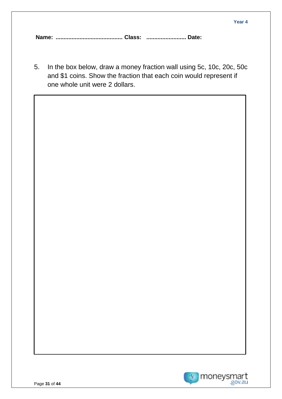5. In the box below, draw a money fraction wall using 5c, 10c, 20c, 50c and \$1 coins. Show the fraction that each coin would represent if one whole unit were 2 dollars.

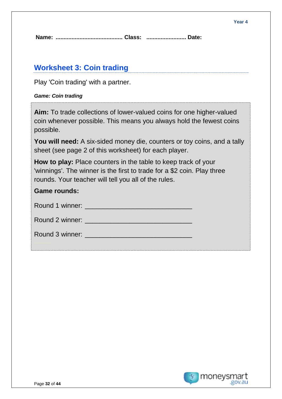## **Worksheet 3: Coin trading**

Play 'Coin trading' with a partner.

## *Game: Coin trading*

**Aim:** To trade collections of lower-valued coins for one higher-valued coin whenever possible. This means you always hold the fewest coins possible.

**You will need:** A six-sided money die, counters or toy coins, and a tally sheet (see page 2 of this worksheet) for each player.

**How to play:** Place counters in the table to keep track of your 'winnings'. The winner is the first to trade for a \$2 coin. Play three rounds. Your teacher will tell you all of the rules.

| <b>Game rounds:</b> |  |
|---------------------|--|
|                     |  |
|                     |  |
|                     |  |

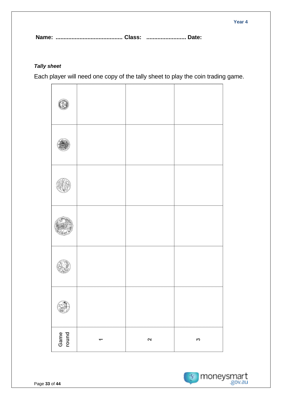## *Tally sheet*

Each player will need one copy of the tally sheet to play the coin trading game.

| Game<br>round | ᅮ | $\mathbf{\Omega}$ | 3 |
|---------------|---|-------------------|---|

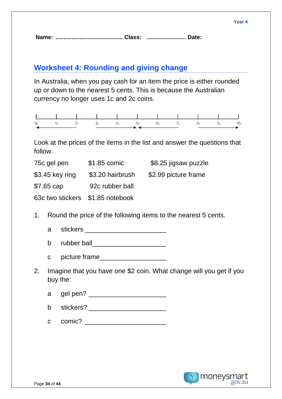## **Worksheet 4: Rounding and giving change**

In Australia, when you pay cash for an item the price is either rounded up or down to the nearest 5 cents. This is because the Australian currency no longer uses 1c and 2c coins.

|  |  | 0c 1c 2c 3c 4c 5c 6c 7c 8c 9c 10c |  |  |  |
|--|--|-----------------------------------|--|--|--|
|  |  |                                   |  |  |  |

Look at the prices of the items in the list and answer the questions that follow.

| 75c gel pen                      | \$1.85 comic     | \$8.25 jigsaw puzzle |
|----------------------------------|------------------|----------------------|
| $$3.45$ key ring                 | \$3.20 hairbrush | \$2.99 picture frame |
| $$7.65$ cap                      | 92c rubber ball  |                      |
| 63c two stickers \$1.85 notebook |                  |                      |

- 1. Round the price of the following items to the nearest 5 cents.
	- a stickers **and the stickers**
	- b rubber ball\_\_\_\_\_\_\_\_\_\_\_\_\_\_\_\_\_\_\_\_
	- c picture frame
- 2. Imagine that you have one \$2 coin. What change will you get if you buy the:
	- a gel pen? \_\_\_\_\_\_\_\_\_\_\_\_\_\_\_\_\_\_\_\_\_
	- b stickers?
	- c comic? \_\_\_\_\_\_\_\_\_\_\_\_\_\_\_\_\_\_\_\_\_\_

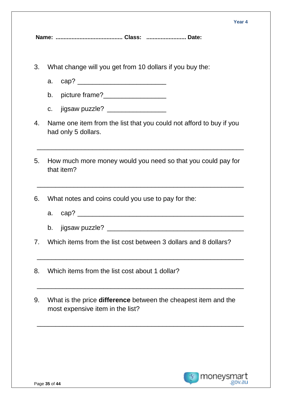#### **Year 4**

**Name: .......................................... Class: ......................... Date:** 

- 3. What change will you get from 10 dollars if you buy the:
	- a. cap? \_\_\_\_\_\_\_\_\_\_\_\_\_\_\_\_\_\_\_\_\_\_\_\_
	- b. picture frame?
	- c. jigsaw puzzle?
- 4. Name one item from the list that you could not afford to buy if you had only 5 dollars.
- 5. How much more money would you need so that you could pay for that item?

\_\_\_\_\_\_\_\_\_\_\_\_\_\_\_\_\_\_\_\_\_\_\_\_\_\_\_\_\_\_\_\_\_\_\_\_\_\_\_\_\_\_\_\_\_\_\_\_\_\_\_\_\_\_\_\_

\_\_\_\_\_\_\_\_\_\_\_\_\_\_\_\_\_\_\_\_\_\_\_\_\_\_\_\_\_\_\_\_\_\_\_\_\_\_\_\_\_\_\_\_\_\_\_\_\_\_\_\_\_\_\_\_

- 6. What notes and coins could you use to pay for the:
	- a. cap? \_\_\_\_\_\_\_\_\_\_\_\_\_\_\_\_\_\_\_\_\_\_\_\_\_\_\_\_\_\_\_\_\_\_\_\_\_\_\_\_\_\_\_\_\_
	- b. jigsaw puzzle? \_\_\_\_\_\_\_\_\_\_\_\_\_\_\_\_\_\_\_\_\_\_\_\_\_\_\_\_\_\_\_\_\_\_\_\_\_

\_\_\_\_\_\_\_\_\_\_\_\_\_\_\_\_\_\_\_\_\_\_\_\_\_\_\_\_\_\_\_\_\_\_\_\_\_\_\_\_\_\_\_\_\_\_\_\_\_\_\_\_\_\_\_\_

\_\_\_\_\_\_\_\_\_\_\_\_\_\_\_\_\_\_\_\_\_\_\_\_\_\_\_\_\_\_\_\_\_\_\_\_\_\_\_\_\_\_\_\_\_\_\_\_\_\_\_\_\_\_\_\_

\_\_\_\_\_\_\_\_\_\_\_\_\_\_\_\_\_\_\_\_\_\_\_\_\_\_\_\_\_\_\_\_\_\_\_\_\_\_\_\_\_\_\_\_\_\_\_\_\_\_\_\_\_\_\_\_

- 7. Which items from the list cost between 3 dollars and 8 dollars?
- 8. Which items from the list cost about 1 dollar?
- 9. What is the price **difference** between the cheapest item and the most expensive item in the list?

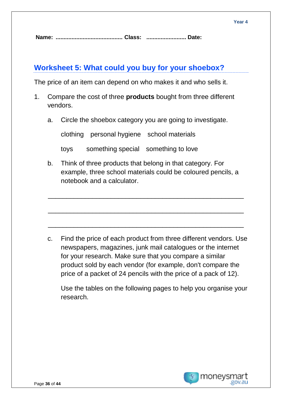## **Worksheet 5: What could you buy for your shoebox?**

The price of an item can depend on who makes it and who sells it.

- 1. Compare the cost of three **products** bought from three different vendors.
	- a. Circle the shoebox category you are going to investigate.

clothing personal hygiene school materials

toys something special something to love

b. Think of three products that belong in that category. For example, three school materials could be coloured pencils, a notebook and a calculator.

\_\_\_\_\_\_\_\_\_\_\_\_\_\_\_\_\_\_\_\_\_\_\_\_\_\_\_\_\_\_\_\_\_\_\_\_\_\_\_\_\_\_\_\_\_\_\_\_\_\_\_\_\_

\_\_\_\_\_\_\_\_\_\_\_\_\_\_\_\_\_\_\_\_\_\_\_\_\_\_\_\_\_\_\_\_\_\_\_\_\_\_\_\_\_\_\_\_\_\_\_\_\_\_\_\_\_

\_\_\_\_\_\_\_\_\_\_\_\_\_\_\_\_\_\_\_\_\_\_\_\_\_\_\_\_\_\_\_\_\_\_\_\_\_\_\_\_\_\_\_\_\_\_\_\_\_\_\_\_\_

c. Find the price of each product from three different vendors. Use newspapers, magazines, junk mail catalogues or the internet for your research. Make sure that you compare a similar product sold by each vendor (for example, don't compare the price of a packet of 24 pencils with the price of a pack of 12).

Use the tables on the following pages to help you organise your research.

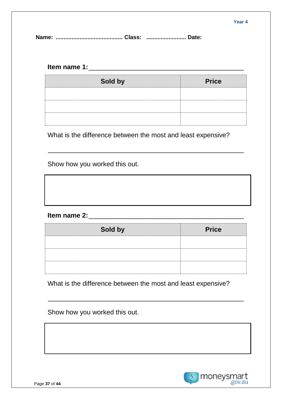## **Item name 1:**\_\_\_\_\_\_\_\_\_\_\_\_\_\_\_\_\_\_\_\_\_\_\_\_\_\_\_\_\_\_\_\_\_\_\_\_\_\_\_\_\_\_

| Sold by | <b>Price</b> |
|---------|--------------|
|         |              |
|         |              |
|         |              |

What is the difference between the most and least expensive?

\_\_\_\_\_\_\_\_\_\_\_\_\_\_\_\_\_\_\_\_\_\_\_\_\_\_\_\_\_\_\_\_\_\_\_\_\_\_\_\_\_\_\_\_\_\_\_\_\_\_\_\_\_

Show how you worked this out.

## **Item name 2:**\_\_\_\_\_\_\_\_\_\_\_\_\_\_\_\_\_\_\_\_\_\_\_\_\_\_\_\_\_\_\_\_\_\_\_\_\_\_\_\_\_\_

| Sold by | <b>Price</b> |
|---------|--------------|
|         |              |
|         |              |
|         |              |

What is the difference between the most and least expensive?

\_\_\_\_\_\_\_\_\_\_\_\_\_\_\_\_\_\_\_\_\_\_\_\_\_\_\_\_\_\_\_\_\_\_\_\_\_\_\_\_\_\_\_\_\_\_\_\_\_\_\_\_\_

Show how you worked this out.

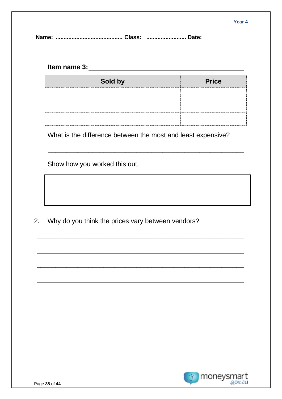## 

| Sold by<br> | <b>Price</b> |
|-------------|--------------|
|             |              |
|             |              |
|             |              |

What is the difference between the most and least expensive?

Show how you worked this out.

2. Why do you think the prices vary between vendors?

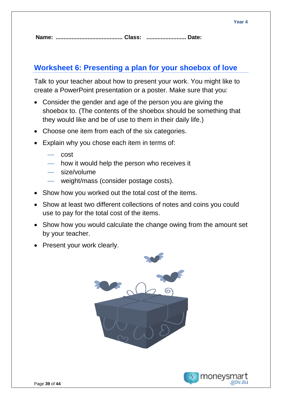# **Worksheet 6: Presenting a plan for your shoebox of love**

Talk to your teacher about how to present your work. You might like to create a PowerPoint presentation or a poster. Make sure that you:

- Consider the gender and age of the person you are giving the shoebox to. (The contents of the shoebox should be something that they would like and be of use to them in their daily life.)
- Choose one item from each of the six categories.
- Explain why you chose each item in terms of:
	- cost
	- how it would help the person who receives it
	- size/volume
	- weight/mass (consider postage costs).
- Show how you worked out the total cost of the items.
- Show at least two different collections of notes and coins you could use to pay for the total cost of the items.
- Show how you would calculate the change owing from the amount set by your teacher.
- Present your work clearly.



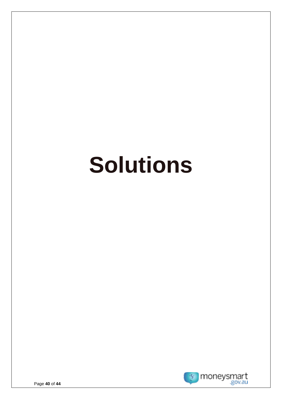# **Solutions**

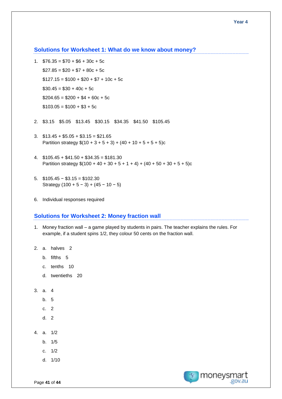**Solutions for Worksheet 1: What do we know about money?**

- 1.  $$76.35 = $70 + $6 + 30c + 5c$  $$27.85 = $20 + $7 + 80c + 5c$  $$127.15 = $100 + $20 + $7 + 10c + 5c$  $$30.45 = $30 + 40c + 5c$  $$204.65 = $200 + $4 + 60c + 5c$  $$103.05 = $100 + $3 + 5c$
- 2. \$3.15 \$5.05 \$13.45 \$30.15 \$34.35 \$41.50 \$105.45
- 3.  $$13.45 + $5.05 + $3.15 = $21.65$ Partition strategy  $$(10 + 3 + 5 + 3) + (40 + 10 + 5 + 5 + 5)c$
- 4.  $$105.45 + $41.50 + $34.35 = $181.30$ Partition strategy  $$(100 + 40 + 30 + 5 + 1 + 4) + (40 + 50 + 30 + 5 + 5)c$
- 5. \$105.45 − \$3.15 = \$102.30 Strategy  $(100 + 5 - 3) + (45 - 10 - 5)$
- 6. Individual responses required

#### **Solutions for Worksheet 2: Money fraction wall**

- 1. Money fraction wall a game played by students in pairs. The teacher explains the rules. For example, if a student spins 1/2, they colour 50 cents on the fraction wall.
- 2. a. halves 2
	- b. fifths 5
	- c. tenths 10
	- d. twentieths 20
- 3. a. 4
	- b. 5
	- c. 2
	- d. 2
- 4. a. 1/2
	- b. 1/5
	- c. 1/2
	- d. 1/10

moneysmart .gov.au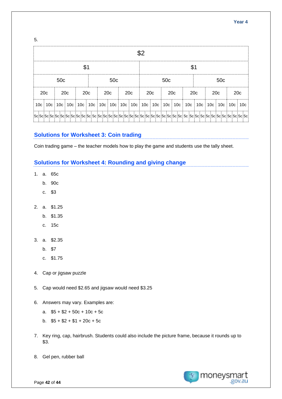#### **Year 4**

5.

|                 |                 |                 |  | \$1                                                                               |  |                 |  |     |  |                 |                 |                 | \$1 |                               |                 |     |               |
|-----------------|-----------------|-----------------|--|-----------------------------------------------------------------------------------|--|-----------------|--|-----|--|-----------------|-----------------|-----------------|-----|-------------------------------|-----------------|-----|---------------|
|                 | 50 <sub>c</sub> |                 |  |                                                                                   |  | 50 <sub>c</sub> |  |     |  |                 | 50 <sub>c</sub> |                 |     |                               | 50 <sub>c</sub> |     |               |
| 20 <sub>c</sub> |                 | 20 <sub>c</sub> |  | 20 <sub>c</sub>                                                                   |  | 20 <sub>c</sub> |  | 20c |  | 20 <sub>c</sub> |                 | 20 <sub>c</sub> |     | 20 <sub>c</sub>               | 20c             | 20c |               |
|                 |                 |                 |  | 10c   10c   10c   10c   10c   10c   10c   10c   10c   10c   10c   10c   10c   10c |  |                 |  |     |  |                 |                 |                 |     | $10c$   $10c$   $10c$   $10c$ |                 |     | $10c$   $10c$ |
|                 |                 |                 |  |                                                                                   |  |                 |  |     |  |                 |                 |                 |     |                               |                 |     |               |

## **Solutions for Worksheet 3: Coin trading**

Coin trading game – the teacher models how to play the game and students use the tally sheet.

## **Solutions for Worksheet 4: Rounding and giving change**

- 1. a. 65c
	- b. 90c
	- c. \$3
- 2. a. \$1.25
	- b. \$1.35
	- c. 15c
- 3. a. \$2.35
	- b. \$7
	- c. \$1.75
- 4. Cap or jigsaw puzzle
- 5. Cap would need \$2.65 and jigsaw would need \$3.25
- 6. Answers may vary. Examples are:
	- a.  $$5 + $2 + 50c + 10c + 5c$
	- b.  $$5 + $2 + $1 + 20c + 5c$
- 7. Key ring, cap, hairbrush. Students could also include the picture frame, because it rounds up to \$3.
- 8. Gel pen, rubber ball

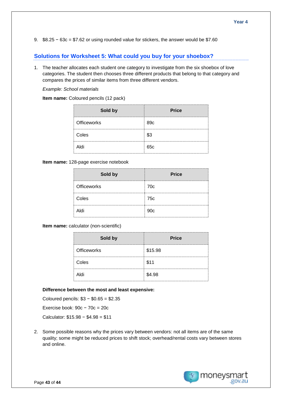9. \$8.25 − 63c = \$7.62 or using rounded value for stickers, the answer would be \$7.60

## **Solutions for Worksheet 5: What could you buy for your shoebox?**

1. The teacher allocates each student one category to investigate from the six shoebox of love categories. The student then chooses three different products that belong to that category and compares the prices of similar items from three different vendors.

#### *Example: School materials*

**Item name:** Coloured pencils (12 pack)

| Sold by            | <b>Price</b> |
|--------------------|--------------|
| <b>Officeworks</b> | 89c          |
| Coles              | 53           |
| ihlA               | 65c          |

#### **Item name:** 128-page exercise notebook

| Sold by            | <b>Price</b> |
|--------------------|--------------|
| <b>Officeworks</b> | 70c<br>      |
| Coles              | 75c          |
| Aldi               | 90c          |

**Item name:** calculator (non-scientific)

| Sold by            | <b>Price</b><br> |
|--------------------|------------------|
| <b>Officeworks</b> | \$15.98          |
| Coles              | \$11             |
| Aldi               | \$4.98           |

#### **Difference between the most and least expensive:**

Coloured pencils: \$3 − \$0.65 = \$2.35 Exercise book: 90c − 70c = 20c

Calculator: \$15.98 − \$4.98 = \$11

2. Some possible reasons why the prices vary between vendors: not all items are of the same quality; some might be reduced prices to shift stock; overhead/rental costs vary between stores and online.